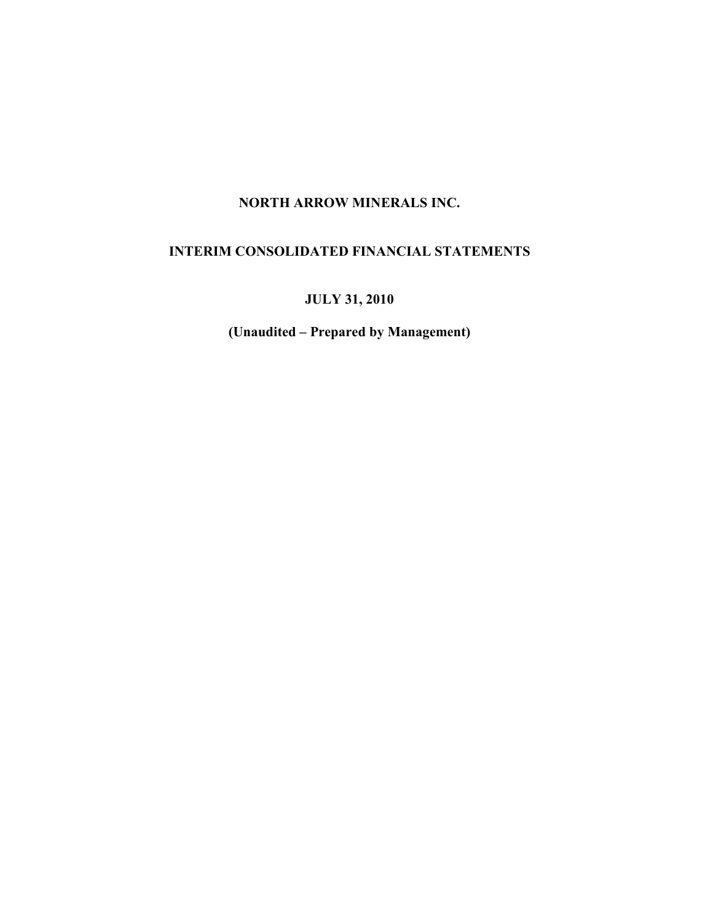# INTERIM CONSOLIDATED FINANCIAL STATEMENTS

JULY 31, 2010

(Unaudited – Prepared by Management)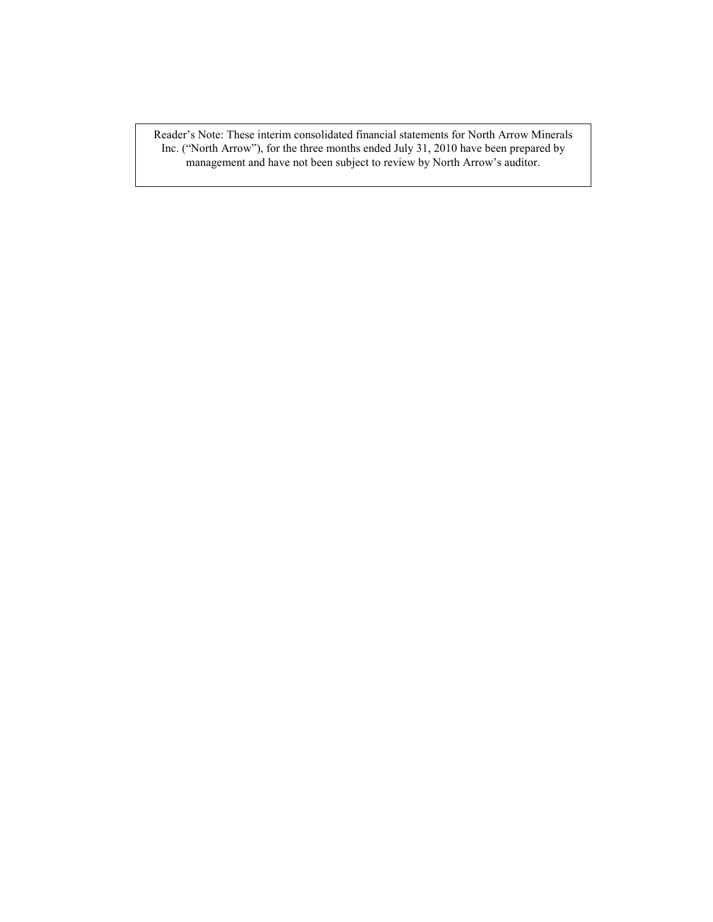Reader's Note: These interim consolidated financial statements for North Arrow Minerals Inc. ("North Arrow"), for the three months ended July 31, 2010 have been prepared by management and have not been subject to review by North Arrow's auditor.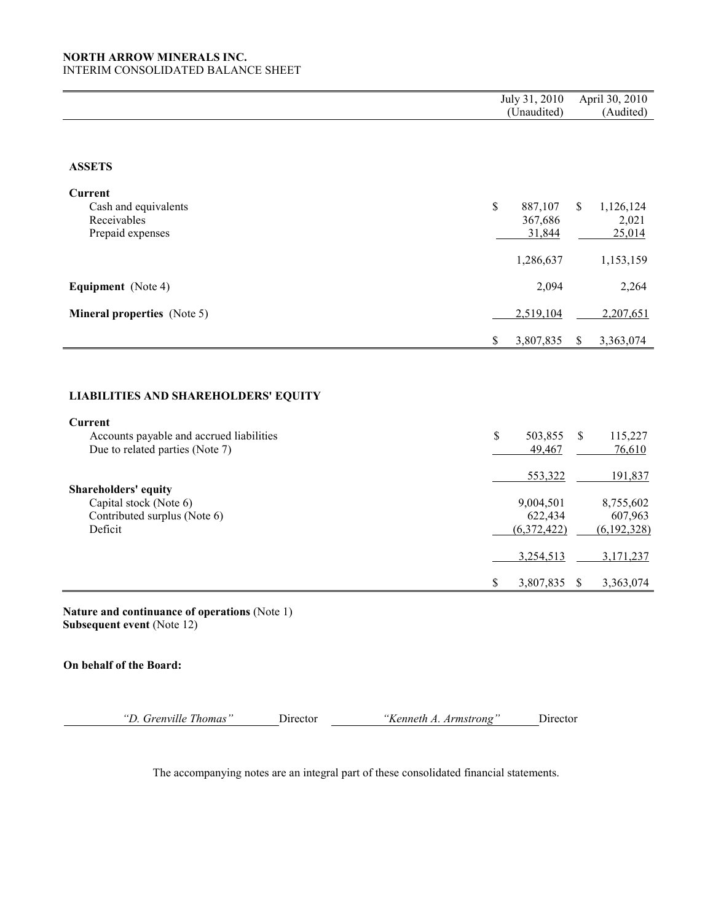INTERIM CONSOLIDATED BALANCE SHEET

|                                                            |              | July 31, 2010        | April 30, 2010       |
|------------------------------------------------------------|--------------|----------------------|----------------------|
|                                                            |              | (Unaudited)          | (Audited)            |
|                                                            |              |                      |                      |
| <b>ASSETS</b>                                              |              |                      |                      |
| <b>Current</b>                                             |              |                      |                      |
| Cash and equivalents                                       | $\mathbb{S}$ | 887,107<br>\$        | 1,126,124            |
| Receivables                                                |              | 367,686              | 2,021                |
| Prepaid expenses                                           |              | 31,844               | 25,014               |
|                                                            |              | 1,286,637            | 1,153,159            |
| Equipment (Note 4)                                         |              | 2,094                | 2,264                |
| <b>Mineral properties</b> (Note 5)                         |              | 2,519,104            | 2,207,651            |
|                                                            | \$           | 3,807,835<br>\$      | 3,363,074            |
| <b>LIABILITIES AND SHAREHOLDERS' EQUITY</b>                |              |                      |                      |
|                                                            |              |                      |                      |
| <b>Current</b><br>Accounts payable and accrued liabilities | \$           | 503,855<br>\$        | 115,227              |
| Due to related parties (Note 7)                            |              | 49,467               | 76,610               |
|                                                            |              | 553,322              | 191,837              |
| Shareholders' equity<br>Capital stock (Note 6)             |              |                      |                      |
| Contributed surplus (Note 6)                               |              | 9,004,501<br>622,434 | 8,755,602<br>607,963 |
| Deficit                                                    |              | (6,372,422)          | (6, 192, 328)        |
|                                                            |              | 3,254,513            | 3,171,237            |
|                                                            |              |                      |                      |

Nature and continuance of operations (Note 1) Subsequent event (Note 12)

# On behalf of the Board:

"D. Grenville Thomas" Director "Kenneth A. Armstrong" Director

The accompanying notes are an integral part of these consolidated financial statements.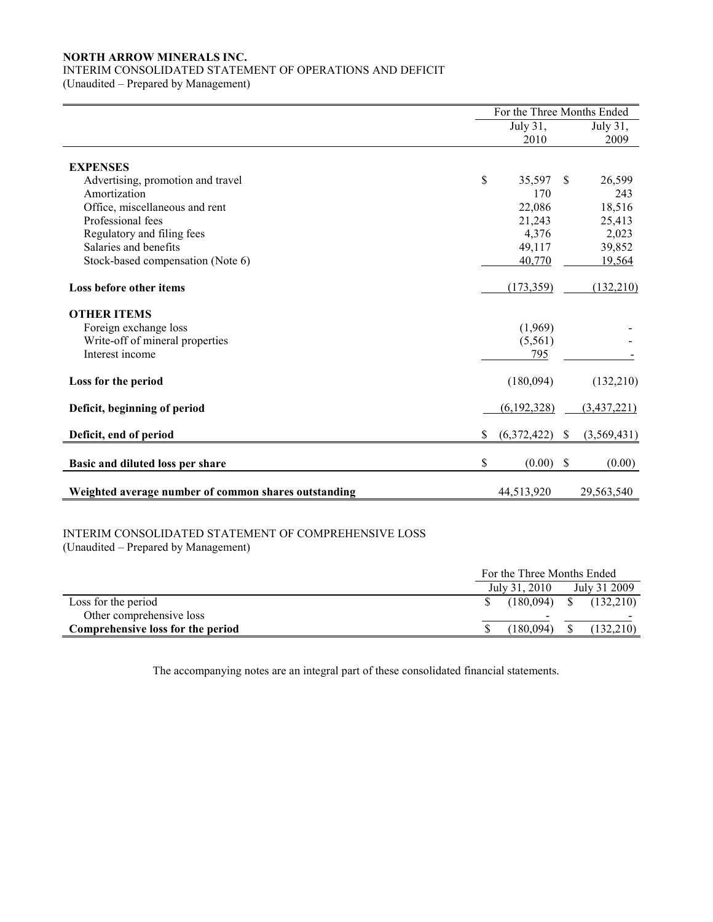# INTERIM CONSOLIDATED STATEMENT OF OPERATIONS AND DEFICIT

(Unaudited – Prepared by Management)

|                                                      | For the Three Months Ended |                  |    |               |
|------------------------------------------------------|----------------------------|------------------|----|---------------|
|                                                      |                            | July 31,         |    | July 31,      |
|                                                      |                            | 2010             |    | 2009          |
| <b>EXPENSES</b>                                      |                            |                  |    |               |
| Advertising, promotion and travel                    | \$                         | 35,597           | \$ | 26,599        |
| Amortization                                         |                            | 170              |    | 243           |
| Office, miscellaneous and rent                       |                            | 22,086           |    | 18,516        |
| Professional fees                                    |                            | 21,243           |    | 25,413        |
| Regulatory and filing fees                           |                            | 4,376            |    | 2,023         |
| Salaries and benefits                                |                            | 49,117           |    | 39,852        |
| Stock-based compensation (Note 6)                    |                            | 40,770           |    | 19,564        |
| Loss before other items                              |                            | (173, 359)       |    | (132, 210)    |
| <b>OTHER ITEMS</b>                                   |                            |                  |    |               |
| Foreign exchange loss                                |                            | (1,969)          |    |               |
| Write-off of mineral properties                      |                            | (5,561)          |    |               |
| Interest income                                      |                            | 795              |    |               |
| Loss for the period                                  |                            | (180,094)        |    | (132,210)     |
| Deficit, beginning of period                         |                            | (6, 192, 328)    |    | (3, 437, 221) |
| Deficit, end of period                               | \$                         | $(6,372,422)$ \$ |    | (3,569,431)   |
| Basic and diluted loss per share                     | \$                         | $(0.00)$ \$      |    | (0.00)        |
| Weighted average number of common shares outstanding |                            | 44,513,920       |    | 29,563,540    |

# INTERIM CONSOLIDATED STATEMENT OF COMPREHENSIVE LOSS

(Unaudited – Prepared by Management)

|                                   |                | For the Three Months Ended |  |  |  |
|-----------------------------------|----------------|----------------------------|--|--|--|
|                                   | July 31, 2010  | July 31 2009               |  |  |  |
| Loss for the period               |                | $(180,094)$ \$ $(132,210)$ |  |  |  |
| Other comprehensive loss          |                | $\overline{\phantom{0}}$   |  |  |  |
| Comprehensive loss for the period | $(180.094)$ \$ | (132,210)                  |  |  |  |

The accompanying notes are an integral part of these consolidated financial statements.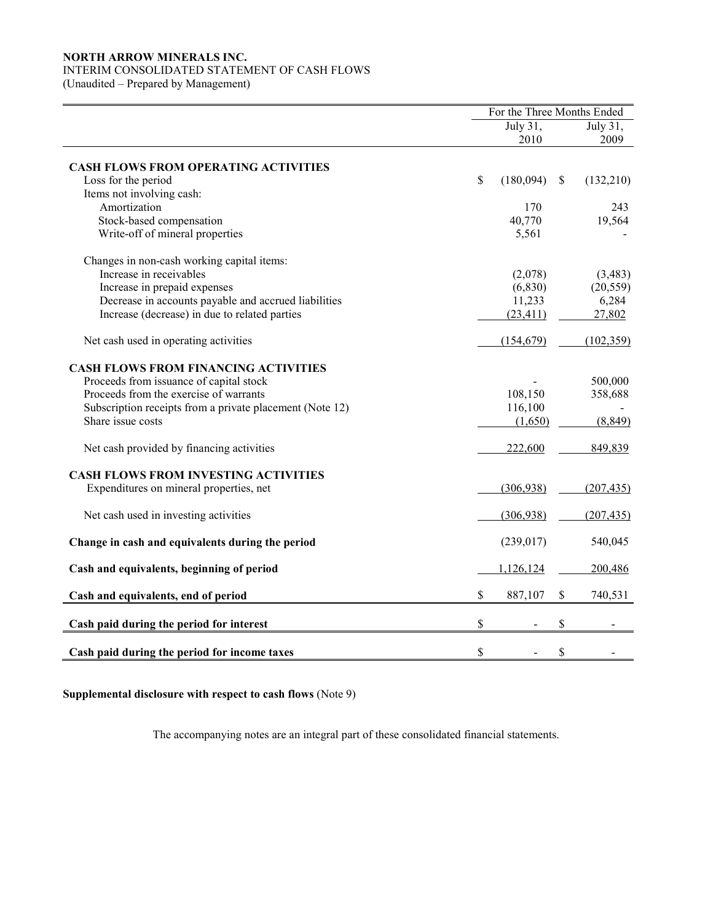# INTERIM CONSOLIDATED STATEMENT OF CASH FLOWS

(Unaudited – Prepared by Management)

|                                                          | For the Three Months Ended |                  |              |                  |  |
|----------------------------------------------------------|----------------------------|------------------|--------------|------------------|--|
|                                                          |                            | July 31,<br>2010 |              | July 31,<br>2009 |  |
| <b>CASH FLOWS FROM OPERATING ACTIVITIES</b>              |                            |                  |              |                  |  |
| Loss for the period                                      | \$                         | (180,094)        | $\mathbb{S}$ | (132,210)        |  |
| Items not involving cash:                                |                            |                  |              |                  |  |
| Amortization                                             |                            | 170              |              | 243              |  |
| Stock-based compensation                                 |                            | 40,770           |              | 19,564           |  |
| Write-off of mineral properties                          |                            | 5,561            |              |                  |  |
| Changes in non-cash working capital items:               |                            |                  |              |                  |  |
| Increase in receivables                                  |                            | (2,078)          |              | (3,483)          |  |
| Increase in prepaid expenses                             |                            | (6, 830)         |              | (20, 559)        |  |
| Decrease in accounts payable and accrued liabilities     |                            | 11,233           |              | 6,284            |  |
| Increase (decrease) in due to related parties            |                            | (23, 411)        |              | 27,802           |  |
| Net cash used in operating activities                    |                            | (154, 679)       |              | (102, 359)       |  |
| <b>CASH FLOWS FROM FINANCING ACTIVITIES</b>              |                            |                  |              |                  |  |
| Proceeds from issuance of capital stock                  |                            |                  |              | 500,000          |  |
| Proceeds from the exercise of warrants                   |                            | 108,150          |              | 358,688          |  |
| Subscription receipts from a private placement (Note 12) |                            | 116,100          |              |                  |  |
| Share issue costs                                        |                            | (1,650)          |              | (8, 849)         |  |
| Net cash provided by financing activities                |                            | 222,600          |              | 849,839          |  |
| <b>CASH FLOWS FROM INVESTING ACTIVITIES</b>              |                            |                  |              |                  |  |
| Expenditures on mineral properties, net                  |                            | (306, 938)       |              | (207, 435)       |  |
| Net cash used in investing activities                    |                            | (306,938)        |              | (207, 435)       |  |
| Change in cash and equivalents during the period         |                            | (239, 017)       |              | 540,045          |  |
| Cash and equivalents, beginning of period                |                            | 1,126,124        |              | 200,486          |  |
| Cash and equivalents, end of period                      | \$                         | 887,107          | \$           | 740,531          |  |
| Cash paid during the period for interest                 | \$                         |                  | \$           |                  |  |
|                                                          |                            |                  |              |                  |  |
| Cash paid during the period for income taxes             | \$                         |                  | \$           |                  |  |

Supplemental disclosure with respect to cash flows (Note 9)

The accompanying notes are an integral part of these consolidated financial statements.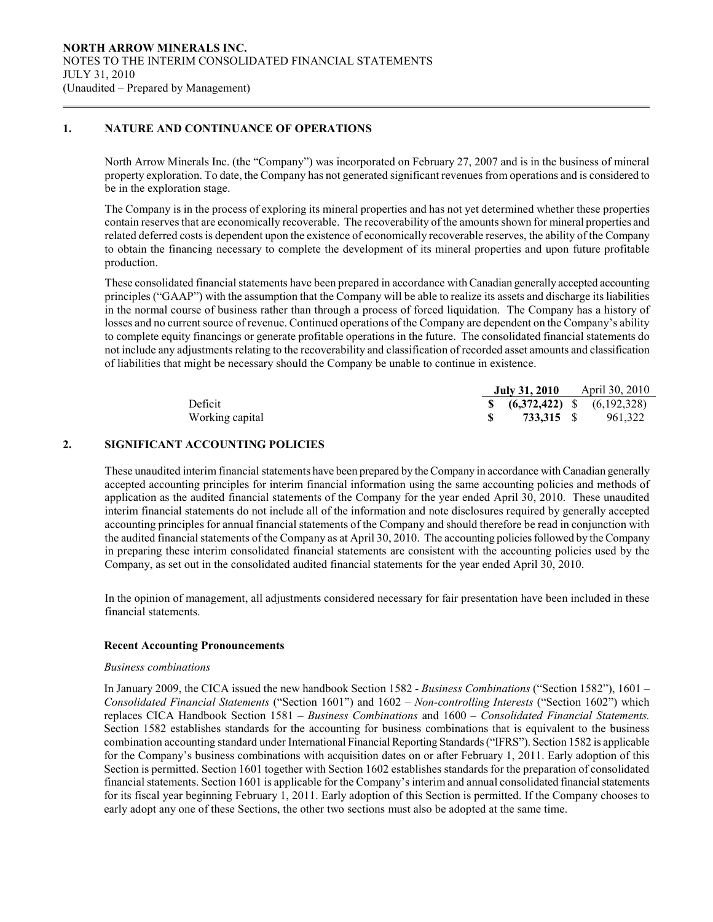# 1. NATURE AND CONTINUANCE OF OPERATIONS

 $\overline{a}$ 

North Arrow Minerals Inc. (the "Company") was incorporated on February 27, 2007 and is in the business of mineral property exploration. To date, the Company has not generated significant revenues from operations and is considered to be in the exploration stage.

The Company is in the process of exploring its mineral properties and has not yet determined whether these properties contain reserves that are economically recoverable. The recoverability of the amounts shown for mineral properties and related deferred costs is dependent upon the existence of economically recoverable reserves, the ability of the Company to obtain the financing necessary to complete the development of its mineral properties and upon future profitable production.

 These consolidated financial statements have been prepared in accordance with Canadian generally accepted accounting principles ("GAAP") with the assumption that the Company will be able to realize its assets and discharge its liabilities in the normal course of business rather than through a process of forced liquidation. The Company has a history of losses and no current source of revenue. Continued operations of the Company are dependent on the Company's ability to complete equity financings or generate profitable operations in the future. The consolidated financial statements do not include any adjustments relating to the recoverability and classification of recorded asset amounts and classification of liabilities that might be necessary should the Company be unable to continue in existence.

|                 | July 31, 2010 | April 30, 2010                    |
|-----------------|---------------|-----------------------------------|
| Deficit         |               | \$ $(6,372,422)$ \$ $(6,192,328)$ |
| Working capital | 733.315 S     | 961.322                           |

## 2. SIGNIFICANT ACCOUNTING POLICIES

These unaudited interim financial statements have been prepared by the Company in accordance with Canadian generally accepted accounting principles for interim financial information using the same accounting policies and methods of application as the audited financial statements of the Company for the year ended April 30, 2010. These unaudited interim financial statements do not include all of the information and note disclosures required by generally accepted accounting principles for annual financial statements of the Company and should therefore be read in conjunction with the audited financial statements of the Company as at April 30, 2010. The accounting policies followed by the Company in preparing these interim consolidated financial statements are consistent with the accounting policies used by the Company, as set out in the consolidated audited financial statements for the year ended April 30, 2010.

In the opinion of management, all adjustments considered necessary for fair presentation have been included in these financial statements.

### Recent Accounting Pronouncements

### Business combinations

In January 2009, the CICA issued the new handbook Section 1582 - Business Combinations ("Section 1582"), 1601 – Consolidated Financial Statements ("Section 1601") and  $1602 - Non-controlling Interests$  ("Section 1602") which replaces CICA Handbook Section 1581 – Business Combinations and 1600 – Consolidated Financial Statements. Section 1582 establishes standards for the accounting for business combinations that is equivalent to the business combination accounting standard under International Financial Reporting Standards ("IFRS"). Section 1582 is applicable for the Company's business combinations with acquisition dates on or after February 1, 2011. Early adoption of this Section is permitted. Section 1601 together with Section 1602 establishes standards for the preparation of consolidated financial statements. Section 1601 is applicable for the Company's interim and annual consolidated financial statements for its fiscal year beginning February 1, 2011. Early adoption of this Section is permitted. If the Company chooses to early adopt any one of these Sections, the other two sections must also be adopted at the same time.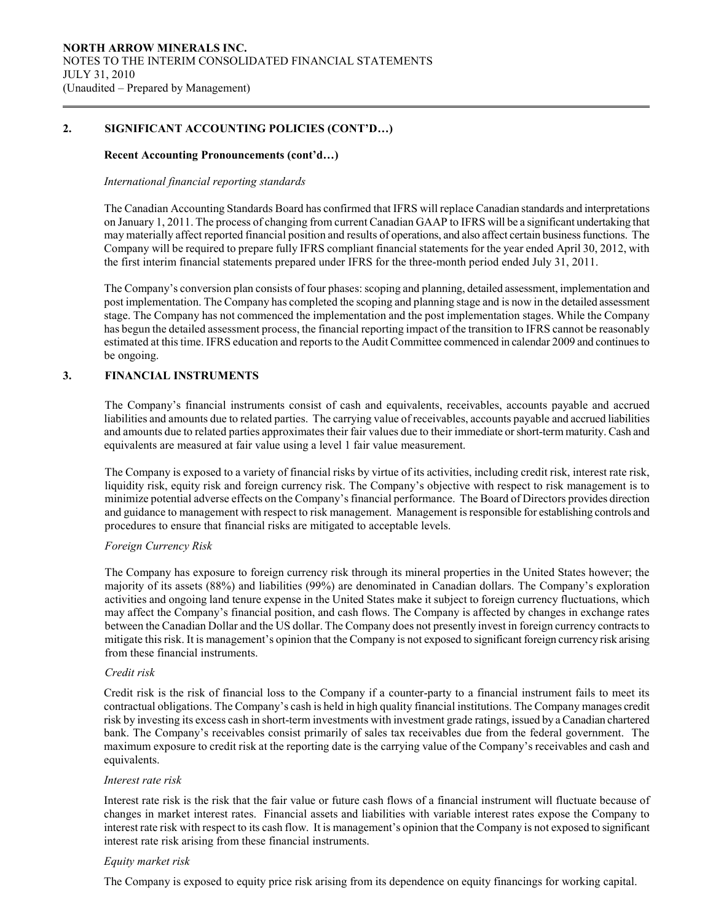# 2. SIGNIFICANT ACCOUNTING POLICIES (CONT'D…)

## Recent Accounting Pronouncements (cont'd…)

### International financial reporting standards

The Canadian Accounting Standards Board has confirmed that IFRS will replace Canadian standards and interpretations on January 1, 2011. The process of changing from current Canadian GAAP to IFRS will be a significant undertaking that may materially affect reported financial position and results of operations, and also affect certain business functions. The Company will be required to prepare fully IFRS compliant financial statements for the year ended April 30, 2012, with the first interim financial statements prepared under IFRS for the three-month period ended July 31, 2011.

The Company's conversion plan consists of four phases: scoping and planning, detailed assessment, implementation and post implementation. The Company has completed the scoping and planning stage and is now in the detailed assessment stage. The Company has not commenced the implementation and the post implementation stages. While the Company has begun the detailed assessment process, the financial reporting impact of the transition to IFRS cannot be reasonably estimated at this time. IFRS education and reports to the Audit Committee commenced in calendar 2009 and continues to be ongoing.

# 3. FINANCIAL INSTRUMENTS

 $\overline{a}$ 

The Company's financial instruments consist of cash and equivalents, receivables, accounts payable and accrued liabilities and amounts due to related parties. The carrying value of receivables, accounts payable and accrued liabilities and amounts due to related parties approximates their fair values due to their immediate or short-term maturity. Cash and equivalents are measured at fair value using a level 1 fair value measurement.

 The Company is exposed to a variety of financial risks by virtue of its activities, including credit risk, interest rate risk, liquidity risk, equity risk and foreign currency risk. The Company's objective with respect to risk management is to minimize potential adverse effects on the Company's financial performance. The Board of Directors provides direction and guidance to management with respect to risk management. Management is responsible for establishing controls and procedures to ensure that financial risks are mitigated to acceptable levels.

# Foreign Currency Risk

 The Company has exposure to foreign currency risk through its mineral properties in the United States however; the majority of its assets (88%) and liabilities (99%) are denominated in Canadian dollars. The Company's exploration activities and ongoing land tenure expense in the United States make it subject to foreign currency fluctuations, which may affect the Company's financial position, and cash flows. The Company is affected by changes in exchange rates between the Canadian Dollar and the US dollar. The Company does not presently invest in foreign currency contracts to mitigate this risk. It is management's opinion that the Company is not exposed to significant foreign currency risk arising from these financial instruments.

# Credit risk

Credit risk is the risk of financial loss to the Company if a counter-party to a financial instrument fails to meet its contractual obligations. The Company's cash is held in high quality financial institutions. The Company manages credit risk by investing its excess cash in short-term investments with investment grade ratings, issued by a Canadian chartered bank. The Company's receivables consist primarily of sales tax receivables due from the federal government. The maximum exposure to credit risk at the reporting date is the carrying value of the Company's receivables and cash and equivalents.

# Interest rate risk

Interest rate risk is the risk that the fair value or future cash flows of a financial instrument will fluctuate because of changes in market interest rates. Financial assets and liabilities with variable interest rates expose the Company to interest rate risk with respect to its cash flow. It is management's opinion that the Company is not exposed to significant interest rate risk arising from these financial instruments.

# Equity market risk

The Company is exposed to equity price risk arising from its dependence on equity financings for working capital.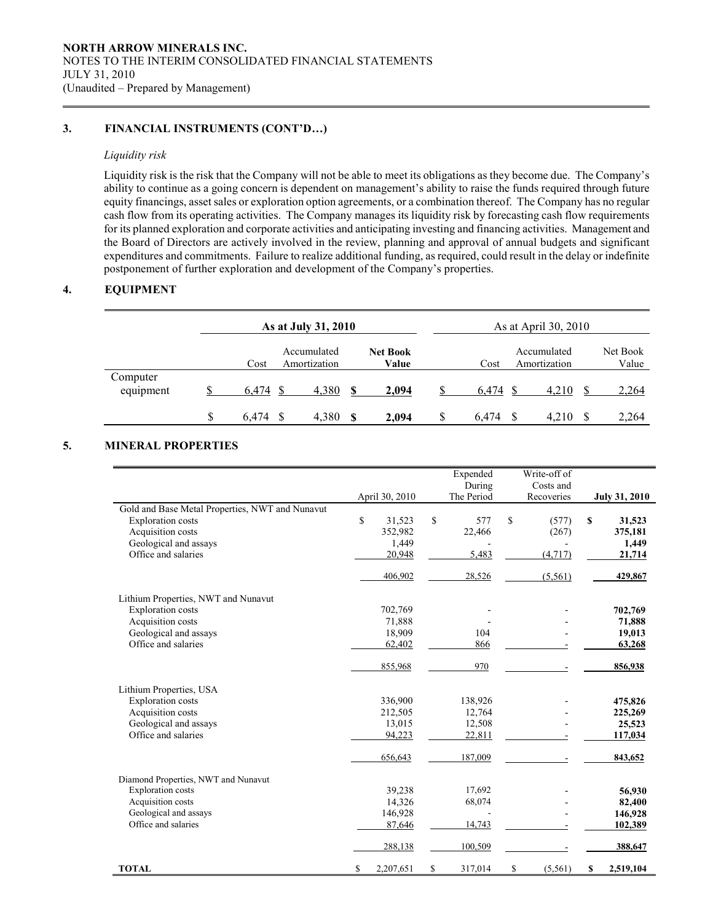# 3. FINANCIAL INSTRUMENTS (CONT'D…)

## Liquidity risk

 $\overline{a}$ 

Liquidity risk is the risk that the Company will not be able to meet its obligations as they become due. The Company's ability to continue as a going concern is dependent on management's ability to raise the funds required through future equity financings, asset sales or exploration option agreements, or a combination thereof. The Company has no regular cash flow from its operating activities. The Company manages its liquidity risk by forecasting cash flow requirements for its planned exploration and corporate activities and anticipating investing and financing activities. Management and the Board of Directors are actively involved in the review, planning and approval of annual budgets and significant expenditures and commitments. Failure to realize additional funding, as required, could result in the delay or indefinite postponement of further exploration and development of the Company's properties.

# 4. EQUIPMENT

|                       | As at July 31, 2010 |       |                             |      | As at April 30, 2010     |             |                             |       |                   |
|-----------------------|---------------------|-------|-----------------------------|------|--------------------------|-------------|-----------------------------|-------|-------------------|
|                       |                     | Cost  | Accumulated<br>Amortization |      | <b>Net Book</b><br>Value | Cost        | Accumulated<br>Amortization |       | Net Book<br>Value |
| Computer<br>equipment |                     | 6.474 | 4,380                       |      | 2,094                    | 6,474       |                             | 4,210 | 2,264             |
|                       | \$                  | 6.474 | 4,380                       | - \$ | 2,094                    | \$<br>6.474 |                             | 4.210 | 2,264             |

# 5. MINERAL PROPERTIES

|                                                 | April 30, 2010  | Expended<br>During<br>The Period | Write-off of<br>Costs and<br>Recoveries | <b>July 31, 2010</b> |
|-------------------------------------------------|-----------------|----------------------------------|-----------------------------------------|----------------------|
| Gold and Base Metal Properties, NWT and Nunavut |                 |                                  |                                         |                      |
| <b>Exploration costs</b>                        | \$<br>31,523    | \$<br>577                        | \$<br>(577)                             | \$<br>31,523         |
| Acquisition costs                               | 352,982         | 22,466                           | (267)                                   | 375,181              |
| Geological and assays                           | 1,449           |                                  |                                         | 1,449                |
| Office and salaries                             | 20,948          | 5,483                            | (4, 717)                                | 21,714               |
|                                                 | 406,902         | 28,526                           | (5, 561)                                | 429,867              |
| Lithium Properties, NWT and Nunavut             |                 |                                  |                                         |                      |
| <b>Exploration costs</b>                        | 702,769         |                                  |                                         | 702,769              |
| Acquisition costs                               | 71,888          |                                  |                                         | 71,888               |
| Geological and assays                           | 18,909          | 104                              |                                         | 19,013               |
| Office and salaries                             | 62,402          | 866                              |                                         | 63,268               |
|                                                 | 855,968         | 970                              |                                         | 856,938              |
| Lithium Properties, USA                         |                 |                                  |                                         |                      |
| <b>Exploration costs</b>                        | 336,900         | 138,926                          |                                         | 475,826              |
| Acquisition costs                               | 212,505         | 12,764                           |                                         | 225,269              |
| Geological and assays                           | 13,015          | 12,508                           |                                         | 25,523               |
| Office and salaries                             | 94,223          | 22,811                           |                                         | 117,034              |
|                                                 | 656,643         | 187,009                          |                                         | 843,652              |
| Diamond Properties, NWT and Nunavut             |                 |                                  |                                         |                      |
| <b>Exploration</b> costs                        | 39,238          | 17,692                           |                                         | 56,930               |
| Acquisition costs                               | 14,326          | 68,074                           |                                         | 82,400               |
| Geological and assays                           | 146,928         |                                  |                                         | 146,928              |
| Office and salaries                             | 87,646          | 14,743                           |                                         | 102,389              |
|                                                 | 288,138         | 100,509                          |                                         | 388,647              |
| <b>TOTAL</b>                                    | \$<br>2,207,651 | \$<br>317,014                    | \$<br>(5, 561)                          | \$<br>2,519,104      |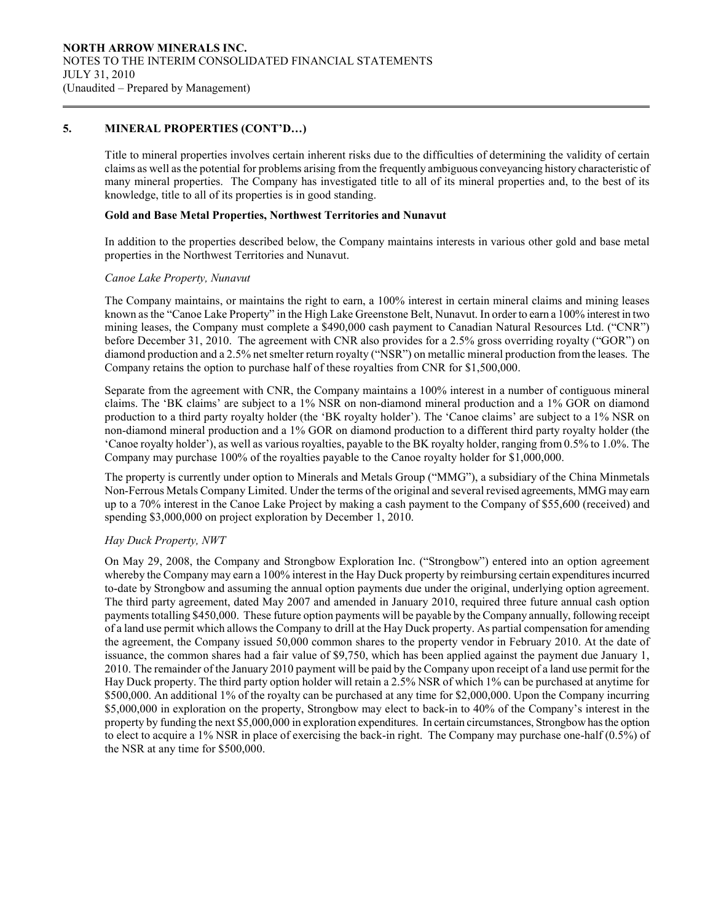# 5. MINERAL PROPERTIES (CONT'D…)

 $\overline{a}$ 

Title to mineral properties involves certain inherent risks due to the difficulties of determining the validity of certain claims as well as the potential for problems arising from the frequently ambiguous conveyancing history characteristic of many mineral properties. The Company has investigated title to all of its mineral properties and, to the best of its knowledge, title to all of its properties is in good standing.

### Gold and Base Metal Properties, Northwest Territories and Nunavut

In addition to the properties described below, the Company maintains interests in various other gold and base metal properties in the Northwest Territories and Nunavut.

### Canoe Lake Property, Nunavut

 The Company maintains, or maintains the right to earn, a 100% interest in certain mineral claims and mining leases known as the "Canoe Lake Property" in the High Lake Greenstone Belt, Nunavut. In order to earn a 100% interest in two mining leases, the Company must complete a \$490,000 cash payment to Canadian Natural Resources Ltd. ("CNR") before December 31, 2010. The agreement with CNR also provides for a 2.5% gross overriding royalty ("GOR") on diamond production and a 2.5% net smelter return royalty ("NSR") on metallic mineral production from the leases. The Company retains the option to purchase half of these royalties from CNR for \$1,500,000.

 Separate from the agreement with CNR, the Company maintains a 100% interest in a number of contiguous mineral claims. The 'BK claims' are subject to a 1% NSR on non-diamond mineral production and a 1% GOR on diamond production to a third party royalty holder (the 'BK royalty holder'). The 'Canoe claims' are subject to a 1% NSR on non-diamond mineral production and a 1% GOR on diamond production to a different third party royalty holder (the 'Canoe royalty holder'), as well as various royalties, payable to the BK royalty holder, ranging from 0.5% to 1.0%. The Company may purchase 100% of the royalties payable to the Canoe royalty holder for \$1,000,000.

The property is currently under option to Minerals and Metals Group ("MMG"), a subsidiary of the China Minmetals Non-Ferrous Metals Company Limited. Under the terms of the original and several revised agreements, MMG may earn up to a 70% interest in the Canoe Lake Project by making a cash payment to the Company of \$55,600 (received) and spending \$3,000,000 on project exploration by December 1, 2010.

### Hay Duck Property, NWT

On May 29, 2008, the Company and Strongbow Exploration Inc. ("Strongbow") entered into an option agreement whereby the Company may earn a 100% interest in the Hay Duck property by reimbursing certain expenditures incurred to-date by Strongbow and assuming the annual option payments due under the original, underlying option agreement. The third party agreement, dated May 2007 and amended in January 2010, required three future annual cash option payments totalling \$450,000. These future option payments will be payable by the Company annually, following receipt of a land use permit which allows the Company to drill at the Hay Duck property. As partial compensation for amending the agreement, the Company issued 50,000 common shares to the property vendor in February 2010. At the date of issuance, the common shares had a fair value of \$9,750, which has been applied against the payment due January 1, 2010. The remainder of the January 2010 payment will be paid by the Company upon receipt of a land use permit for the Hay Duck property. The third party option holder will retain a 2.5% NSR of which 1% can be purchased at anytime for \$500,000. An additional 1% of the royalty can be purchased at any time for \$2,000,000. Upon the Company incurring \$5,000,000 in exploration on the property, Strongbow may elect to back-in to 40% of the Company's interest in the property by funding the next \$5,000,000 in exploration expenditures. In certain circumstances, Strongbow has the option to elect to acquire a 1% NSR in place of exercising the back-in right. The Company may purchase one-half (0.5%) of the NSR at any time for \$500,000.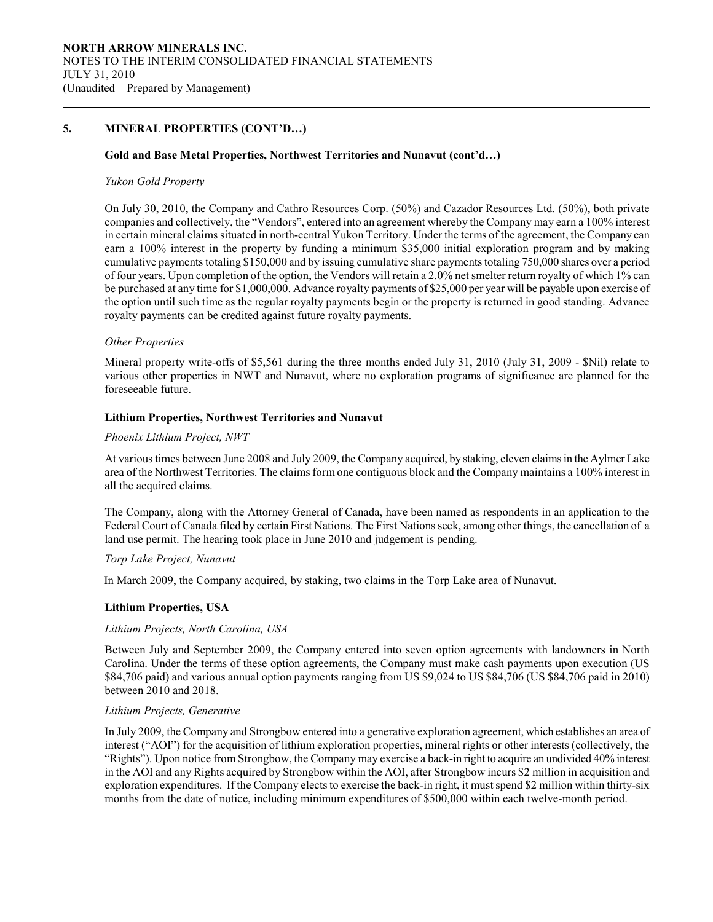# 5. MINERAL PROPERTIES (CONT'D…)

#### Gold and Base Metal Properties, Northwest Territories and Nunavut (cont'd…)

#### Yukon Gold Property

 $\overline{a}$ 

On July 30, 2010, the Company and Cathro Resources Corp. (50%) and Cazador Resources Ltd. (50%), both private companies and collectively, the "Vendors", entered into an agreement whereby the Company may earn a 100% interest in certain mineral claims situated in north-central Yukon Territory. Under the terms of the agreement, the Company can earn a 100% interest in the property by funding a minimum \$35,000 initial exploration program and by making cumulative payments totaling \$150,000 and by issuing cumulative share payments totaling 750,000 shares over a period of four years. Upon completion of the option, the Vendors will retain a 2.0% net smelter return royalty of which 1% can be purchased at any time for \$1,000,000. Advance royalty payments of \$25,000 per year will be payable upon exercise of the option until such time as the regular royalty payments begin or the property is returned in good standing. Advance royalty payments can be credited against future royalty payments.

### Other Properties

Mineral property write-offs of \$5,561 during the three months ended July 31, 2010 (July 31, 2009 - \$Nil) relate to various other properties in NWT and Nunavut, where no exploration programs of significance are planned for the foreseeable future.

#### Lithium Properties, Northwest Territories and Nunavut

#### Phoenix Lithium Project, NWT

At various times between June 2008 and July 2009, the Company acquired, by staking, eleven claims in the Aylmer Lake area of the Northwest Territories. The claims form one contiguous block and the Company maintains a 100% interest in all the acquired claims.

The Company, along with the Attorney General of Canada, have been named as respondents in an application to the Federal Court of Canada filed by certain First Nations. The First Nations seek, among other things, the cancellation of a land use permit. The hearing took place in June 2010 and judgement is pending.

### Torp Lake Project, Nunavut

In March 2009, the Company acquired, by staking, two claims in the Torp Lake area of Nunavut.

### Lithium Properties, USA

#### Lithium Projects, North Carolina, USA

Between July and September 2009, the Company entered into seven option agreements with landowners in North Carolina. Under the terms of these option agreements, the Company must make cash payments upon execution (US \$84,706 paid) and various annual option payments ranging from US \$9,024 to US \$84,706 (US \$84,706 paid in 2010) between 2010 and 2018.

# Lithium Projects, Generative

In July 2009, the Company and Strongbow entered into a generative exploration agreement, which establishes an area of interest ("AOI") for the acquisition of lithium exploration properties, mineral rights or other interests (collectively, the "Rights"). Upon notice from Strongbow, the Company may exercise a back-in right to acquire an undivided 40% interest in the AOI and any Rights acquired by Strongbow within the AOI, after Strongbow incurs \$2 million in acquisition and exploration expenditures. If the Company elects to exercise the back-in right, it must spend \$2 million within thirty-six months from the date of notice, including minimum expenditures of \$500,000 within each twelve-month period.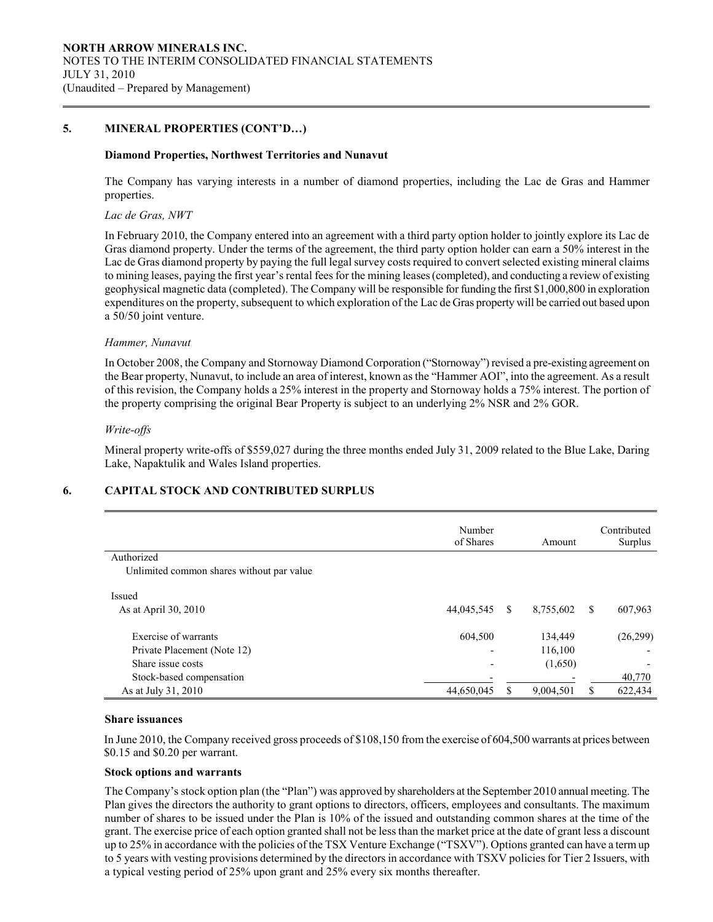# 5. MINERAL PROPERTIES (CONT'D…)

#### Diamond Properties, Northwest Territories and Nunavut

The Company has varying interests in a number of diamond properties, including the Lac de Gras and Hammer properties.

#### Lac de Gras, NWT

 $\overline{a}$ 

In February 2010, the Company entered into an agreement with a third party option holder to jointly explore its Lac de Gras diamond property. Under the terms of the agreement, the third party option holder can earn a 50% interest in the Lac de Gras diamond property by paying the full legal survey costs required to convert selected existing mineral claims to mining leases, paying the first year's rental fees for the mining leases (completed), and conducting a review of existing geophysical magnetic data (completed). The Company will be responsible for funding the first \$1,000,800 in exploration expenditures on the property, subsequent to which exploration of the Lac de Gras property will be carried out based upon a 50/50 joint venture.

#### Hammer, Nunavut

In October 2008, the Company and Stornoway Diamond Corporation ("Stornoway") revised a pre-existing agreement on the Bear property, Nunavut, to include an area of interest, known as the "Hammer AOI", into the agreement. As a result of this revision, the Company holds a 25% interest in the property and Stornoway holds a 75% interest. The portion of the property comprising the original Bear Property is subject to an underlying 2% NSR and 2% GOR.

#### Write-offs

Mineral property write-offs of \$559,027 during the three months ended July 31, 2009 related to the Blue Lake, Daring Lake, Napaktulik and Wales Island properties.

# 6. CAPITAL STOCK AND CONTRIBUTED SURPLUS

|                                           | Number<br>of Shares      |    | Amount    |               | Contributed<br>Surplus   |
|-------------------------------------------|--------------------------|----|-----------|---------------|--------------------------|
| Authorized                                |                          |    |           |               |                          |
| Unlimited common shares without par value |                          |    |           |               |                          |
| Issued                                    |                          |    |           |               |                          |
| As at April 30, 2010                      | 44,045,545               | -S | 8,755,602 | <sup>\$</sup> | 607,963                  |
| Exercise of warrants                      | 604,500                  |    | 134,449   |               | (26, 299)                |
| Private Placement (Note 12)               | $\overline{\phantom{0}}$ |    | 116,100   |               | $\overline{\phantom{0}}$ |
| Share issue costs                         | $\overline{\phantom{0}}$ |    | (1,650)   |               | ٠                        |
| Stock-based compensation                  |                          |    |           |               | 40,770                   |
| As at July 31, 2010                       | 44,650,045               |    | 9,004,501 | \$            | 622,434                  |

#### Share issuances

In June 2010, the Company received gross proceeds of \$108,150 from the exercise of 604,500 warrants at prices between \$0.15 and \$0.20 per warrant.

#### Stock options and warrants

 The Company's stock option plan (the "Plan") was approved by shareholders at the September 2010 annual meeting. The Plan gives the directors the authority to grant options to directors, officers, employees and consultants. The maximum number of shares to be issued under the Plan is 10% of the issued and outstanding common shares at the time of the grant. The exercise price of each option granted shall not be less than the market price at the date of grant less a discount up to 25% in accordance with the policies of the TSX Venture Exchange ("TSXV"). Options granted can have a term up to 5 years with vesting provisions determined by the directors in accordance with TSXV policies for Tier 2 Issuers, with a typical vesting period of 25% upon grant and 25% every six months thereafter.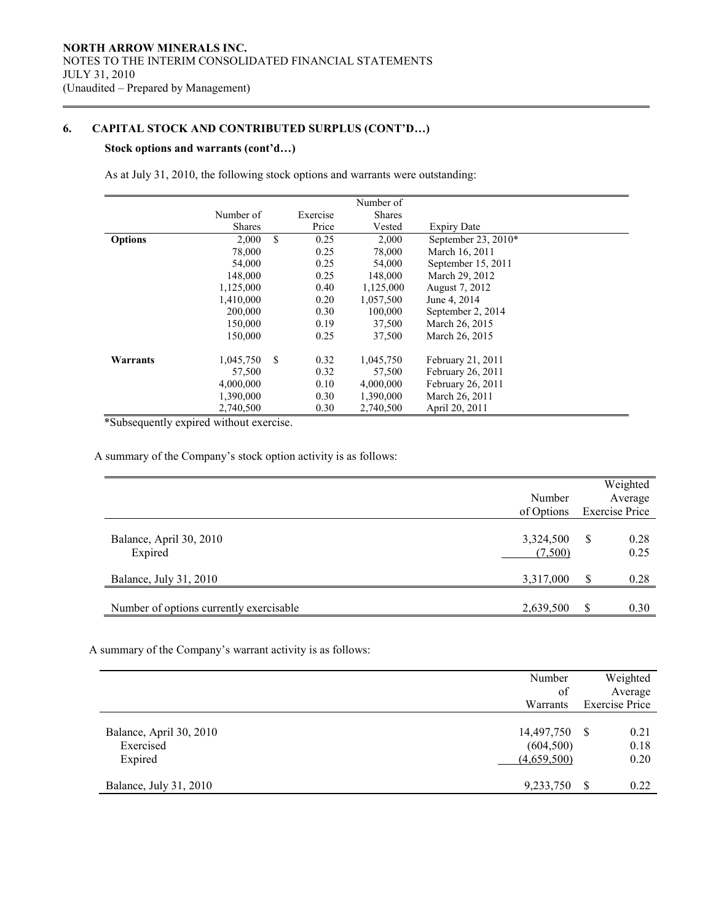# 6. CAPITAL STOCK AND CONTRIBUTED SURPLUS (CONT'D…)

# Stock options and warrants (cont'd…)

 $\overline{a}$ 

As at July 31, 2010, the following stock options and warrants were outstanding:

|                |               |               |          | Number of     |                       |  |
|----------------|---------------|---------------|----------|---------------|-----------------------|--|
|                |               |               |          |               |                       |  |
|                | Number of     |               | Exercise | <b>Shares</b> |                       |  |
|                | <b>Shares</b> |               | Price    | Vested        | <b>Expiry Date</b>    |  |
| <b>Options</b> | 2,000         | \$            | 0.25     | 2,000         | September 23, $2010*$ |  |
|                | 78,000        |               | 0.25     | 78,000        | March 16, 2011        |  |
|                | 54,000        |               | 0.25     | 54,000        | September 15, 2011    |  |
|                | 148,000       |               | 0.25     | 148,000       | March 29, 2012        |  |
|                | 1,125,000     |               | 0.40     | 1,125,000     | August 7, 2012        |  |
|                | 1,410,000     |               | 0.20     | 1.057.500     | June 4, 2014          |  |
|                | 200,000       |               | 0.30     | 100,000       | September 2, 2014     |  |
|                | 150,000       |               | 0.19     | 37,500        | March 26, 2015        |  |
|                | 150,000       |               | 0.25     | 37,500        | March 26, 2015        |  |
|                |               |               |          |               |                       |  |
| Warrants       | 1,045,750     | <sup>\$</sup> | 0.32     | 1,045,750     | February 21, 2011     |  |
|                | 57,500        |               | 0.32     | 57,500        | February 26, 2011     |  |
|                | 4,000,000     |               | 0.10     | 4,000,000     | February 26, 2011     |  |
|                | 1,390,000     |               | 0.30     | 1,390,000     | March 26, 2011        |  |
|                | 2,740,500     |               | 0.30     | 2,740,500     | April 20, 2011        |  |

\*Subsequently expired without exercise.

A summary of the Company's stock option activity is as follows:

|                                         | Number<br>of Options |    | Weighted<br>Average<br><b>Exercise Price</b> |
|-----------------------------------------|----------------------|----|----------------------------------------------|
| Balance, April 30, 2010<br>Expired      | 3,324,500<br>(7,500) | -S | 0.28<br>0.25                                 |
| Balance, July 31, 2010                  | 3,317,000            | S  | 0.28                                         |
| Number of options currently exercisable | 2,639,500            | S  | 0.30                                         |

A summary of the Company's warrant activity is as follows:

|                         | Number      | Weighted              |
|-------------------------|-------------|-----------------------|
|                         | of          | Average               |
|                         | Warrants    | <b>Exercise Price</b> |
|                         |             |                       |
| Balance, April 30, 2010 | 14,497,750  | 0.21<br>-S            |
| Exercised               | (604, 500)  | 0.18                  |
| Expired                 | (4,659,500) | 0.20                  |
|                         |             |                       |
| Balance, July 31, 2010  | 9,233,750   | <b>S</b><br>0.22      |
|                         |             |                       |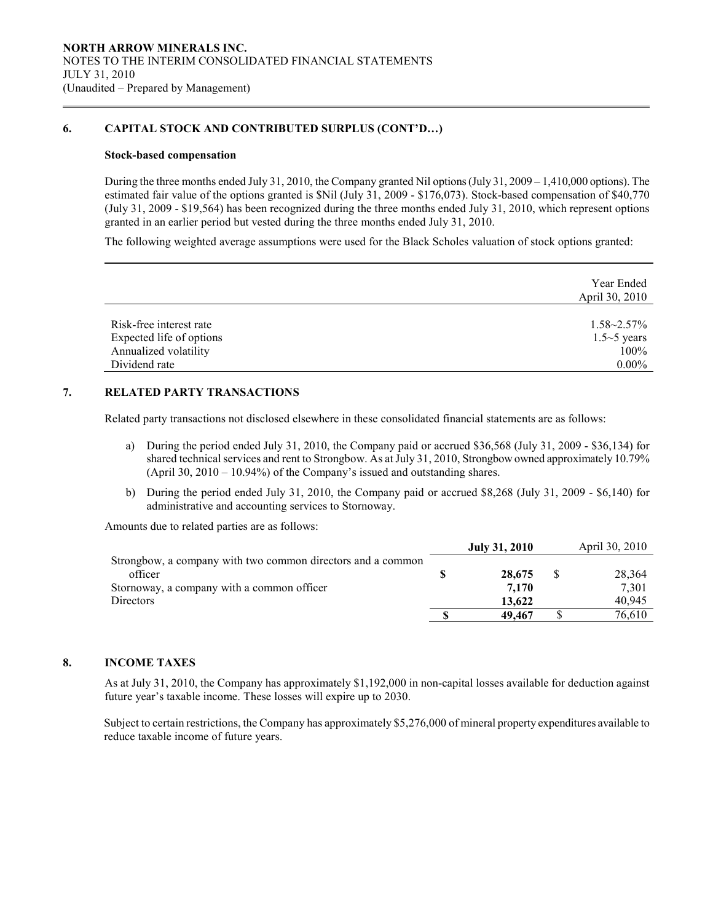# 6. CAPITAL STOCK AND CONTRIBUTED SURPLUS (CONT'D…)

#### Stock-based compensation

 $\overline{a}$ 

 During the three months ended July 31, 2010, the Company granted Nil options (July 31, 2009 – 1,410,000 options). The estimated fair value of the options granted is \$Nil (July 31, 2009 - \$176,073). Stock-based compensation of \$40,770 (July 31, 2009 - \$19,564) has been recognized during the three months ended July 31, 2010, which represent options granted in an earlier period but vested during the three months ended July 31, 2010.

The following weighted average assumptions were used for the Black Scholes valuation of stock options granted:

|                          | Year Ended<br>April 30, 2010 |
|--------------------------|------------------------------|
| Risk-free interest rate  | $1.58 - 2.57\%$              |
| Expected life of options | $1.5 \sim 5$ years           |
| Annualized volatility    | 100%                         |
| Dividend rate            | $0.00\%$                     |

# 7. RELATED PARTY TRANSACTIONS

Related party transactions not disclosed elsewhere in these consolidated financial statements are as follows:

- a) During the period ended July 31, 2010, the Company paid or accrued \$36,568 (July 31, 2009 \$36,134) for shared technical services and rent to Strongbow. As at July 31, 2010, Strongbow owned approximately 10.79% (April 30, 2010 – 10.94%) of the Company's issued and outstanding shares.
- b) During the period ended July 31, 2010, the Company paid or accrued \$8,268 (July 31, 2009 \$6,140) for administrative and accounting services to Stornoway.

Amounts due to related parties are as follows:

|                                                             | <b>July 31, 2010</b> | April 30, 2010 |
|-------------------------------------------------------------|----------------------|----------------|
| Strongbow, a company with two common directors and a common |                      |                |
| officer                                                     | 28,675               | 28.364         |
| Stornoway, a company with a common officer                  | 7.170                | 7.301          |
| <b>Directors</b>                                            | 13.622               | 40.945         |
|                                                             | 49.467               | 76.610         |

# 8. INCOME TAXES

 As at July 31, 2010, the Company has approximately \$1,192,000 in non-capital losses available for deduction against future year's taxable income. These losses will expire up to 2030.

Subject to certain restrictions, the Company has approximately \$5,276,000 of mineral property expenditures available to reduce taxable income of future years.